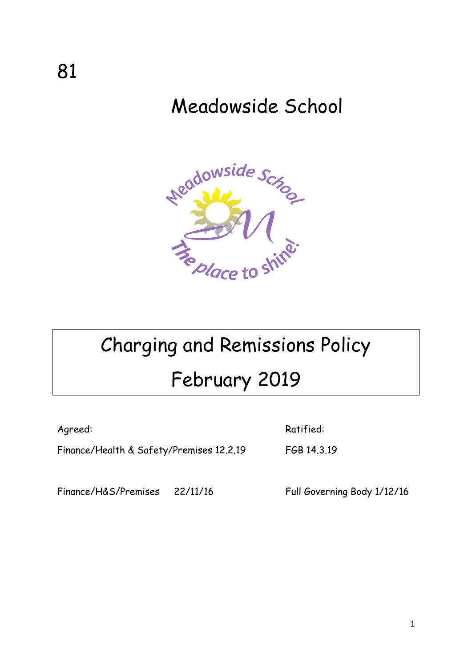

# Charging and Remissions Policy February 2019

Finance/Health & Safety/Premises 12.2.19 FGB 14.3.19

Agreed: Ratified:

Finance/H&S/Premises 22/11/16 Full Governing Body 1/12/16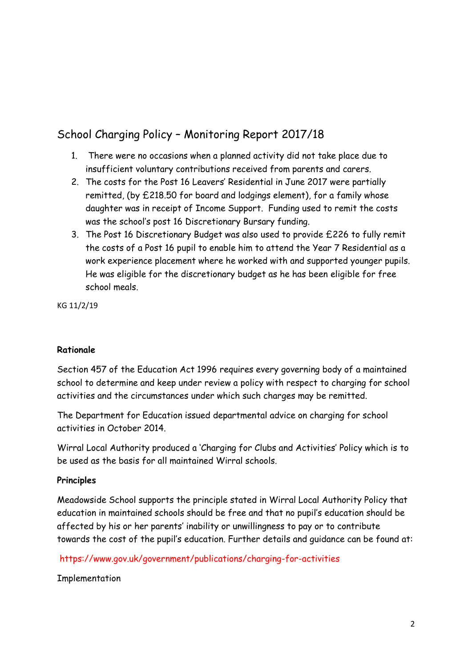# School Charging Policy – Monitoring Report 2017/18

- 1. There were no occasions when a planned activity did not take place due to insufficient voluntary contributions received from parents and carers.
- 2. The costs for the Post 16 Leavers' Residential in June 2017 were partially remitted, (by £218.50 for board and lodgings element), for a family whose daughter was in receipt of Income Support. Funding used to remit the costs was the school's post 16 Discretionary Bursary funding.
- 3. The Post 16 Discretionary Budget was also used to provide £226 to fully remit the costs of a Post 16 pupil to enable him to attend the Year 7 Residential as a work experience placement where he worked with and supported younger pupils. He was eligible for the discretionary budget as he has been eligible for free school meals.

KG 11/2/19

### **Rationale**

Section 457 of the Education Act 1996 requires every governing body of a maintained school to determine and keep under review a policy with respect to charging for school activities and the circumstances under which such charges may be remitted.

The Department for Education issued departmental advice on charging for school activities in October 2014.

Wirral Local Authority produced a 'Charging for Clubs and Activities' Policy which is to be used as the basis for all maintained Wirral schools.

### **Principles**

Meadowside School supports the principle stated in Wirral Local Authority Policy that education in maintained schools should be free and that no pupil's education should be affected by his or her parents' inability or unwillingness to pay or to contribute towards the cost of the pupil's education. Further details and guidance can be found at:

### https://www.gov.uk/government/publications/charging-for-activities

Implementation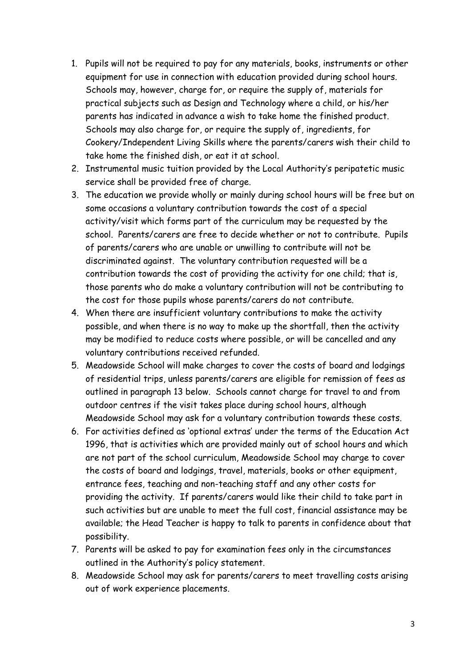- 1. Pupils will not be required to pay for any materials, books, instruments or other equipment for use in connection with education provided during school hours. Schools may, however, charge for, or require the supply of, materials for practical subjects such as Design and Technology where a child, or his/her parents has indicated in advance a wish to take home the finished product. Schools may also charge for, or require the supply of, ingredients, for Cookery/Independent Living Skills where the parents/carers wish their child to take home the finished dish, or eat it at school.
- 2. Instrumental music tuition provided by the Local Authority's peripatetic music service shall be provided free of charge.
- 3. The education we provide wholly or mainly during school hours will be free but on some occasions a voluntary contribution towards the cost of a special activity/visit which forms part of the curriculum may be requested by the school. Parents/carers are free to decide whether or not to contribute. Pupils of parents/carers who are unable or unwilling to contribute will not be discriminated against. The voluntary contribution requested will be a contribution towards the cost of providing the activity for one child; that is, those parents who do make a voluntary contribution will not be contributing to the cost for those pupils whose parents/carers do not contribute.
- 4. When there are insufficient voluntary contributions to make the activity possible, and when there is no way to make up the shortfall, then the activity may be modified to reduce costs where possible, or will be cancelled and any voluntary contributions received refunded.
- 5. Meadowside School will make charges to cover the costs of board and lodgings of residential trips, unless parents/carers are eligible for remission of fees as outlined in paragraph 13 below. Schools cannot charge for travel to and from outdoor centres if the visit takes place during school hours, although Meadowside School may ask for a voluntary contribution towards these costs.
- 6. For activities defined as 'optional extras' under the terms of the Education Act 1996, that is activities which are provided mainly out of school hours and which are not part of the school curriculum, Meadowside School may charge to cover the costs of board and lodgings, travel, materials, books or other equipment, entrance fees, teaching and non-teaching staff and any other costs for providing the activity. If parents/carers would like their child to take part in such activities but are unable to meet the full cost, financial assistance may be available; the Head Teacher is happy to talk to parents in confidence about that possibility.
- 7. Parents will be asked to pay for examination fees only in the circumstances outlined in the Authority's policy statement.
- 8. Meadowside School may ask for parents/carers to meet travelling costs arising out of work experience placements.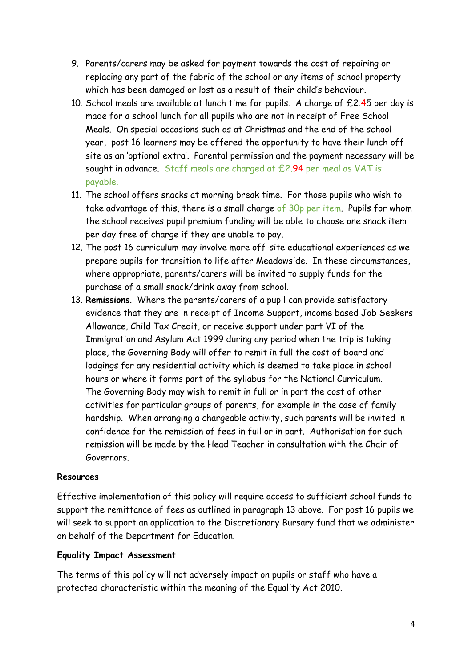- 9. Parents/carers may be asked for payment towards the cost of repairing or replacing any part of the fabric of the school or any items of school property which has been damaged or lost as a result of their child's behaviour.
- 10. School meals are available at lunch time for pupils. A charge of £2.45 per day is made for a school lunch for all pupils who are not in receipt of Free School Meals. On special occasions such as at Christmas and the end of the school year, post 16 learners may be offered the opportunity to have their lunch off site as an 'optional extra'. Parental permission and the payment necessary will be sought in advance. Staff meals are charged at £2.94 per meal as VAT is payable.
- 11. The school offers snacks at morning break time. For those pupils who wish to take advantage of this, there is a small charge of 30p per item. Pupils for whom the school receives pupil premium funding will be able to choose one snack item per day free of charge if they are unable to pay.
- 12. The post 16 curriculum may involve more off-site educational experiences as we prepare pupils for transition to life after Meadowside. In these circumstances, where appropriate, parents/carers will be invited to supply funds for the purchase of a small snack/drink away from school.
- 13. **Remissions**. Where the parents/carers of a pupil can provide satisfactory evidence that they are in receipt of Income Support, income based Job Seekers Allowance, Child Tax Credit, or receive support under part VI of the Immigration and Asylum Act 1999 during any period when the trip is taking place, the Governing Body will offer to remit in full the cost of board and lodgings for any residential activity which is deemed to take place in school hours or where it forms part of the syllabus for the National Curriculum. The Governing Body may wish to remit in full or in part the cost of other activities for particular groups of parents, for example in the case of family hardship. When arranging a chargeable activity, such parents will be invited in confidence for the remission of fees in full or in part. Authorisation for such remission will be made by the Head Teacher in consultation with the Chair of Governors.

### **Resources**

Effective implementation of this policy will require access to sufficient school funds to support the remittance of fees as outlined in paragraph 13 above. For post 16 pupils we will seek to support an application to the Discretionary Bursary fund that we administer on behalf of the Department for Education.

### **Equality Impact Assessment**

The terms of this policy will not adversely impact on pupils or staff who have a protected characteristic within the meaning of the Equality Act 2010.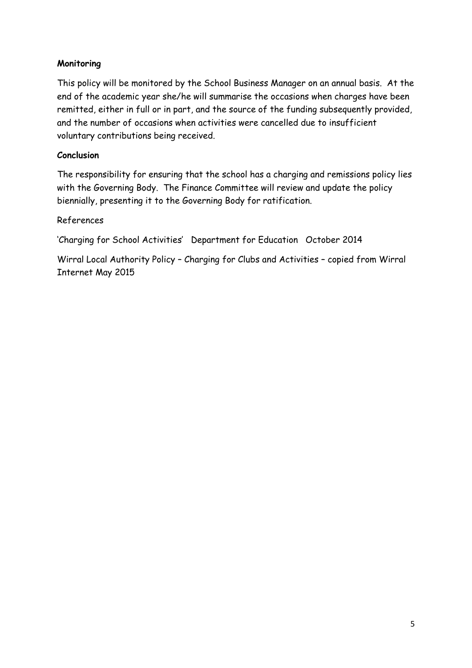#### **Monitoring**

This policy will be monitored by the School Business Manager on an annual basis. At the end of the academic year she/he will summarise the occasions when charges have been remitted, either in full or in part, and the source of the funding subsequently provided, and the number of occasions when activities were cancelled due to insufficient voluntary contributions being received.

#### **Conclusion**

The responsibility for ensuring that the school has a charging and remissions policy lies with the Governing Body. The Finance Committee will review and update the policy biennially, presenting it to the Governing Body for ratification.

#### References

'Charging for School Activities' Department for Education October 2014

Wirral Local Authority Policy – Charging for Clubs and Activities – copied from Wirral Internet May 2015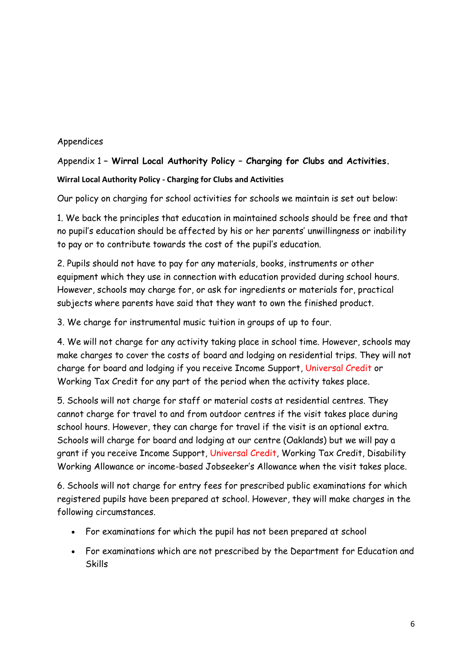#### Appendices

# Appendix 1 **– Wirral Local Authority Policy – Charging for Clubs and Activities. Wirral Local Authority Policy - Charging for Clubs and Activities**

Our policy on charging for school activities for schools we maintain is set out below:

1. We back the principles that education in maintained schools should be free and that no pupil's education should be affected by his or her parents' unwillingness or inability to pay or to contribute towards the cost of the pupil's education.

2. Pupils should not have to pay for any materials, books, instruments or other equipment which they use in connection with education provided during school hours. However, schools may charge for, or ask for ingredients or materials for, practical subjects where parents have said that they want to own the finished product.

3. We charge for instrumental music tuition in groups of up to four.

4. We will not charge for any activity taking place in school time. However, schools may make charges to cover the costs of board and lodging on residential trips. They will not charge for board and lodging if you receive Income Support, Universal Credit or Working Tax Credit for any part of the period when the activity takes place.

5. Schools will not charge for staff or material costs at residential centres. They cannot charge for travel to and from outdoor centres if the visit takes place during school hours. However, they can charge for travel if the visit is an optional extra. Schools will charge for board and lodging at our centre (Oaklands) but we will pay a grant if you receive Income Support, Universal Credit, Working Tax Credit, Disability Working Allowance or income-based Jobseeker's Allowance when the visit takes place.

6. Schools will not charge for entry fees for prescribed public examinations for which registered pupils have been prepared at school. However, they will make charges in the following circumstances.

- For examinations for which the pupil has not been prepared at school
- For examinations which are not prescribed by the Department for Education and Skills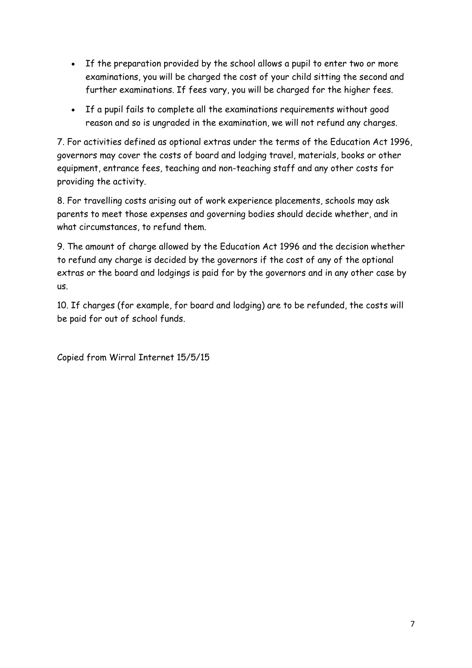- If the preparation provided by the school allows a pupil to enter two or more examinations, you will be charged the cost of your child sitting the second and further examinations. If fees vary, you will be charged for the higher fees.
- If a pupil fails to complete all the examinations requirements without good reason and so is ungraded in the examination, we will not refund any charges.

7. For activities defined as optional extras under the terms of the Education Act 1996, governors may cover the costs of board and lodging travel, materials, books or other equipment, entrance fees, teaching and non-teaching staff and any other costs for providing the activity.

8. For travelling costs arising out of work experience placements, schools may ask parents to meet those expenses and governing bodies should decide whether, and in what circumstances, to refund them.

9. The amount of charge allowed by the Education Act 1996 and the decision whether to refund any charge is decided by the governors if the cost of any of the optional extras or the board and lodgings is paid for by the governors and in any other case by us.

10. If charges (for example, for board and lodging) are to be refunded, the costs will be paid for out of school funds.

Copied from Wirral Internet 15/5/15